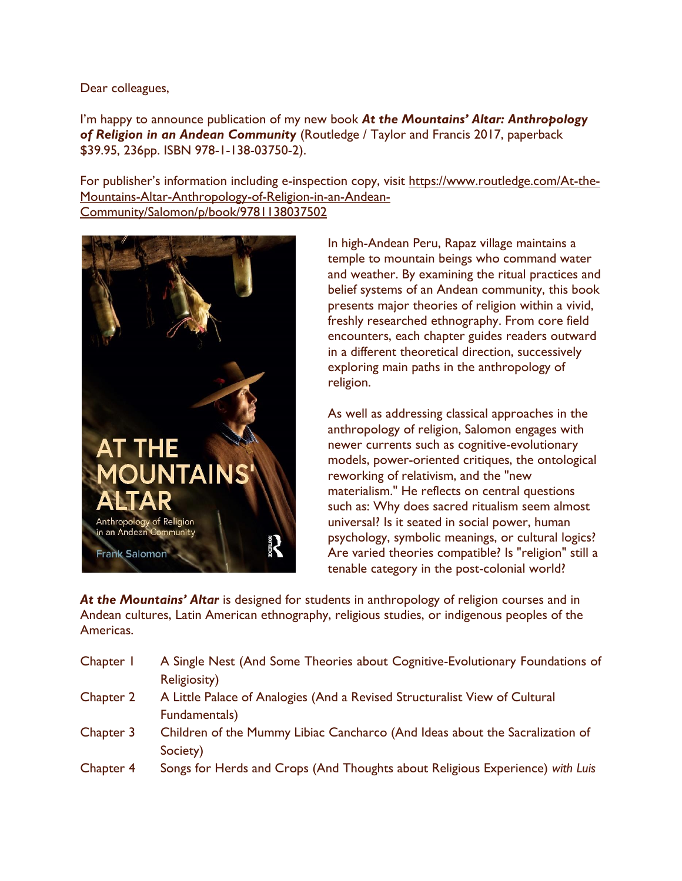Dear colleagues,

I'm happy to announce publication of my new book *At the Mountains' Altar: Anthropology of Religion in an Andean Community* (Routledge / Taylor and Francis 2017, paperback \$39.95, 236pp. ISBN 978-1-138-03750-2).

For publisher's information including e-inspection copy, visit [https://www.routledge.com/At-the-](https://www.routledge.com/At-the-Mountains-Altar-Anthropology-of-Religion-in-an-Andean-Community/Salomon/p/book/9781138037502)[Mountains-Altar-Anthropology-of-Religion-in-an-Andean-](https://www.routledge.com/At-the-Mountains-Altar-Anthropology-of-Religion-in-an-Andean-Community/Salomon/p/book/9781138037502)[Community/Salomon/p/book/9781138037502](https://www.routledge.com/At-the-Mountains-Altar-Anthropology-of-Religion-in-an-Andean-Community/Salomon/p/book/9781138037502)



In high-Andean Peru, Rapaz village maintains a temple to mountain beings who command water and weather. By examining the ritual practices and belief systems of an Andean community, this book presents major theories of religion within a vivid, freshly researched ethnography. From core field encounters, each chapter guides readers outward in a different theoretical direction, successively exploring main paths in the anthropology of religion.

As well as addressing classical approaches in the anthropology of religion, Salomon engages with newer currents such as cognitive-evolutionary models, power-oriented critiques, the ontological reworking of relativism, and the "new materialism." He reflects on central questions such as: Why does sacred ritualism seem almost universal? Is it seated in social power, human psychology, symbolic meanings, or cultural logics? Are varied theories compatible? Is "religion" still a tenable category in the post-colonial world?

At the Mountains' Altar is designed for students in anthropology of religion courses and in Andean cultures, Latin American ethnography, religious studies, or indigenous peoples of the Americas.

| Chapter 1 | A Single Nest (And Some Theories about Cognitive-Evolutionary Foundations of  |
|-----------|-------------------------------------------------------------------------------|
|           | <b>Religiosity)</b>                                                           |
| Chapter 2 | A Little Palace of Analogies (And a Revised Structuralist View of Cultural    |
|           | Fundamentals)                                                                 |
| Chapter 3 | Children of the Mummy Libiac Cancharco (And Ideas about the Sacralization of  |
|           | Society)                                                                      |
| Chapter 4 | Songs for Herds and Crops (And Thoughts about Religious Experience) with Luis |
|           |                                                                               |